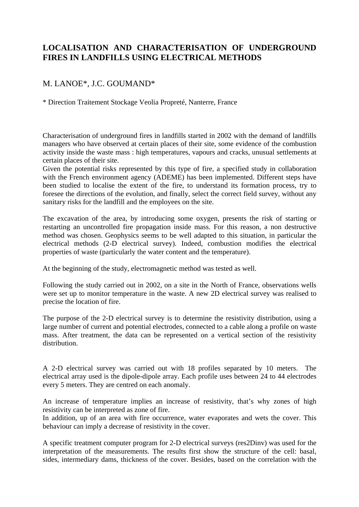## **LOCALISATION AND CHARACTERISATION OF UNDERGROUND FIRES IN LANDFILLS USING ELECTRICAL METHODS**

## M. LANOE\*, J.C. GOUMAND\*

\* Direction Traitement Stockage Veolia Propreté, Nanterre, France

Characterisation of underground fires in landfills started in 2002 with the demand of landfills managers who have observed at certain places of their site, some evidence of the combustion activity inside the waste mass : high temperatures, vapours and cracks, unusual settlements at certain places of their site.

Given the potential risks represented by this type of fire, a specified study in collaboration with the French environment agency (ADEME) has been implemented. Different steps have been studied to localise the extent of the fire, to understand its formation process, try to foresee the directions of the evolution, and finally, select the correct field survey, without any sanitary risks for the landfill and the employees on the site.

The excavation of the area, by introducing some oxygen, presents the risk of starting or restarting an uncontrolled fire propagation inside mass. For this reason, a non destructive method was chosen. Geophysics seems to be well adapted to this situation, in particular the electrical methods (2-D electrical survey). Indeed, combustion modifies the electrical properties of waste (particularly the water content and the temperature).

At the beginning of the study, electromagnetic method was tested as well.

Following the study carried out in 2002, on a site in the North of France, observations wells were set up to monitor temperature in the waste. A new 2D electrical survey was realised to precise the location of fire.

The purpose of the 2-D electrical survey is to determine the resistivity distribution, using a large number of current and potential electrodes, connected to a cable along a profile on waste mass. After treatment, the data can be represented on a vertical section of the resistivity distribution.

A 2-D electrical survey was carried out with 18 profiles separated by 10 meters. The electrical array used is the dipole-dipole array. Each profile uses between 24 to 44 electrodes every 5 meters. They are centred on each anomaly.

An increase of temperature implies an increase of resistivity, that's why zones of high resistivity can be interpreted as zone of fire.

In addition, up of an area with fire occurrence, water evaporates and wets the cover. This behaviour can imply a decrease of resistivity in the cover.

A specific treatment computer program for 2-D electrical surveys (res2Dinv) was used for the interpretation of the measurements. The results first show the structure of the cell: basal, sides, intermediary dams, thickness of the cover. Besides, based on the correlation with the